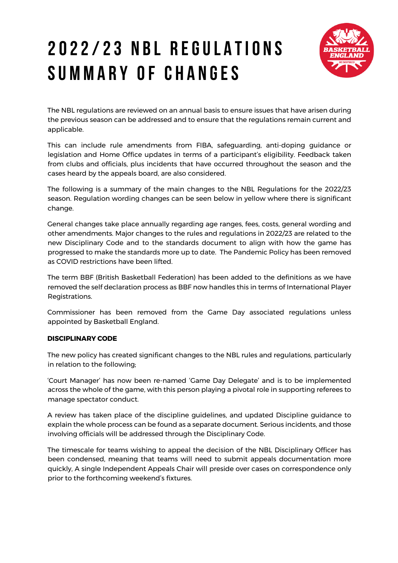# 2 0 2 2 / 2 3 N B L R E G U L A T I O N S SUMMARY OF CHANGES



The NBL regulations are reviewed on an annual basis to ensure issues that have arisen during the previous season can be addressed and to ensure that the regulations remain current and applicable.

This can include rule amendments from FIBA, safeguarding, anti-doping guidance or legislation and Home Office updates in terms of a participant's eligibility. Feedback taken from clubs and officials, plus incidents that have occurred throughout the season and the cases heard by the appeals board, are also considered.

The following is a summary of the main changes to the NBL Regulations for the 2022/23 season. Regulation wording changes can be seen below in yellow where there is significant change.

General changes take place annually regarding age ranges, fees, costs, general wording and other amendments. Major changes to the rules and regulations in 2022/23 are related to the new Disciplinary Code and to the standards document to align with how the game has progressed to make the standards more up to date. The Pandemic Policy has been removed as COVID restrictions have been lifted.

The term BBF (British Basketball Federation) has been added to the definitions as we have removed the self declaration process as BBF now handles this in terms of International Player Registrations.

Commissioner has been removed from the Game Day associated regulations unless appointed by Basketball England.

## **DISCIPLINARY CODE**

The new policy has created significant changes to the NBL rules and regulations, particularly in relation to the following;

'Court Manager' has now been re-named 'Game Day Delegate' and is to be implemented across the whole of the game, with this person playing a pivotal role in supporting referees to manage spectator conduct.

A review has taken place of the discipline guidelines, and updated Discipline guidance to explain the whole process can be found as a separate document. Serious incidents, and those involving officials will be addressed through the Disciplinary Code.

The timescale for teams wishing to appeal the decision of the NBL Disciplinary Officer has been condensed, meaning that teams will need to submit appeals documentation more quickly, A single Independent Appeals Chair will preside over cases on correspondence only prior to the forthcoming weekend's fixtures.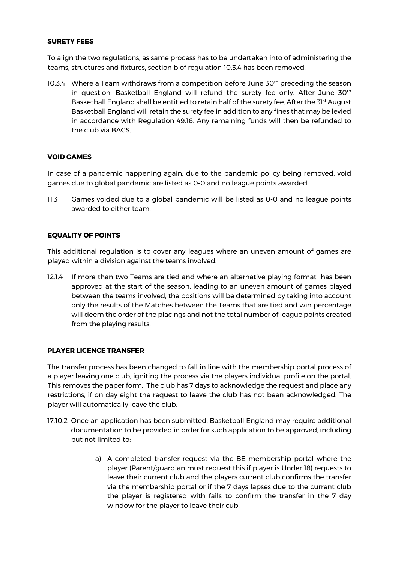#### **SURETY FEES**

To align the two regulations, as same process has to be undertaken into of administering the teams, structures and fixtures, section b of regulation 10.3.4 has been removed.

10.3.4 Where a Team withdraws from a competition before June 30<sup>th</sup> preceding the season in question, Basketball England will refund the surety fee only. After June  $30<sup>th</sup>$ Basketball England shall be entitled to retain half of the surety fee. After the 31<sup>st</sup> August Basketball England will retain the surety fee in addition to any fines that may be levied in accordance with Regulation 49.16. Any remaining funds will then be refunded to the club via BACS.

#### **VOID GAMES**

In case of a pandemic happening again, due to the pandemic policy being removed, void games due to global pandemic are listed as 0-0 and no league points awarded.

11.3 Games voided due to a global pandemic will be listed as 0-0 and no league points awarded to either team.

#### **EQUALITY OF POINTS**

This additional regulation is to cover any leagues where an uneven amount of games are played within a division against the teams involved.

12.1.4 If more than two Teams are tied and where an alternative playing format has been approved at the start of the season, leading to an uneven amount of games played between the teams involved, the positions will be determined by taking into account only the results of the Matches between the Teams that are tied and win percentage will deem the order of the placings and not the total number of league points created from the playing results.

#### **PLAYER LICENCE TRANSFER**

The transfer process has been changed to fall in line with the membership portal process of a player leaving one club, igniting the process via the players individual profile on the portal. This removes the paper form. The club has 7 days to acknowledge the request and place any restrictions, if on day eight the request to leave the club has not been acknowledged. The player will automatically leave the club.

- 17.10.2 Once an application has been submitted, Basketball England may require additional documentation to be provided in order for such application to be approved, including but not limited to:
	- a) A completed transfer request via the BE membership portal where the player (Parent/guardian must request this if player is Under 18) requests to leave their current club and the players current club confirms the transfer via the membership portal or if the 7 days lapses due to the current club the player is registered with fails to confirm the transfer in the 7 day window for the player to leave their cub.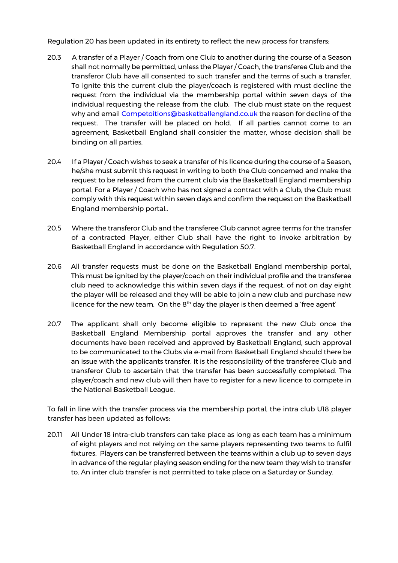Regulation 20 has been updated in its entirety to reflect the new process for transfers:

- 20.3 A transfer of a Player / Coach from one Club to another during the course of a Season shall not normally be permitted, unless the Player / Coach, the transferee Club and the transferor Club have all consented to such transfer and the terms of such a transfer. To ignite this the current club the player/coach is registered with must decline the request from the individual via the membership portal within seven days of the individual requesting the release from the club. The club must state on the request why and email Competoitions@basketballengland.co.uk the reason for decline of the request. The transfer will be placed on hold. If all parties cannot come to an agreement, Basketball England shall consider the matter, whose decision shall be binding on all parties.
- 20.4 If a Player / Coach wishes to seek a transfer of his licence during the course of a Season, he/she must submit this request in writing to both the Club concerned and make the request to be released from the current club via the Basketball England membership portal. For a Player / Coach who has not signed a contract with a Club, the Club must comply with this request within seven days and confirm the request on the Basketball England membership portal..
- 20.5 Where the transferor Club and the transferee Club cannot agree terms for the transfer of a contracted Player, either Club shall have the right to invoke arbitration by Basketball England in accordance with Regulation 50.7.
- 20.6 All transfer requests must be done on the Basketball England membership portal, This must be ignited by the player/coach on their individual profile and the transferee club need to acknowledge this within seven days if the request, of not on day eight the player will be released and they will be able to join a new club and purchase new licence for the new team. On the  $8<sup>th</sup>$  day the player is then deemed a 'free agent'
- 20.7 The applicant shall only become eligible to represent the new Club once the Basketball England Membership portal approves the transfer and any other documents have been received and approved by Basketball England, such approval to be communicated to the Clubs via e-mail from Basketball England should there be an issue with the applicants transfer. It is the responsibility of the transferee Club and transferor Club to ascertain that the transfer has been successfully completed. The player/coach and new club will then have to register for a new licence to compete in the National Basketball League.

To fall in line with the transfer process via the membership portal, the intra club U18 player transfer has been updated as follows:

20.11 All Under 18 intra-club transfers can take place as long as each team has a minimum of eight players and not relying on the same players representing two teams to fulfil fixtures. Players can be transferred between the teams within a club up to seven days in advance of the regular playing season ending for the new team they wish to transfer to. An inter club transfer is not permitted to take place on a Saturday or Sunday.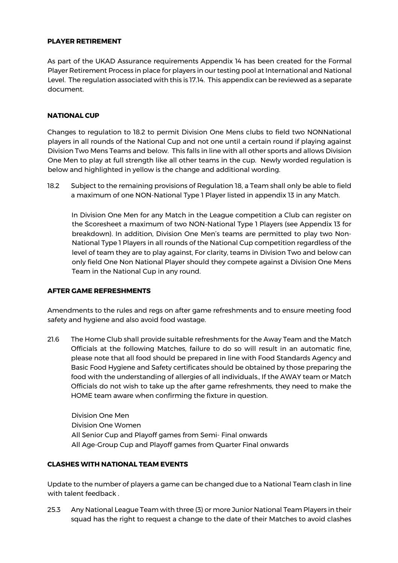#### **PLAYER RETIREMENT**

As part of the UKAD Assurance requirements Appendix 14 has been created for the Formal Player Retirement Process in place for players in our testing pool at International and National Level. The regulation associated with this is 17.14. This appendix can be reviewed as a separate document.

#### **NATIONAL CUP**

Changes to regulation to 18.2 to permit Division One Mens clubs to field two NONNational players in all rounds of the National Cup and not one until a certain round if playing against Division Two Mens Teams and below. This falls in line with all other sports and allows Division One Men to play at full strength like all other teams in the cup. Newly worded regulation is below and highlighted in yellow is the change and additional wording.

18.2 Subject to the remaining provisions of Regulation 18, a Team shall only be able to field a maximum of one NON-National Type 1 Player listed in appendix 13 in any Match.

In Division One Men for any Match in the League competition a Club can register on the Scoresheet a maximum of two NON-National Type 1 Players (see Appendix 13 for breakdown). In addition, Division One Men's teams are permitted to play two Non-National Type 1 Players in all rounds of the National Cup competition regardless of the level of team they are to play against, For clarity, teams in Division Two and below can only field One Non National Player should they compete against a Division One Mens Team in the National Cup in any round.

#### **AFTER GAME REFRESHMENTS**

Amendments to the rules and regs on after game refreshments and to ensure meeting food safety and hygiene and also avoid food wastage.

21.6 The Home Club shall provide suitable refreshments for the Away Team and the Match Officials at the following Matches, failure to do so will result in an automatic fine, please note that all food should be prepared in line with Food Standards Agency and Basic Food Hygiene and Safety certificates should be obtained by those preparing the food with the understanding of allergies of all individuals., If the AWAY team or Match Officials do not wish to take up the after game refreshments, they need to make the HOME team aware when confirming the fixture in question.

Division One Men Division One Women All Senior Cup and Playoff games from Semi- Final onwards All Age-Group Cup and Playoff games from Quarter Final onwards

## **CLASHES WITH NATIONAL TEAM EVENTS**

Update to the number of players a game can be changed due to a National Team clash in line with talent feedback .

25.3 Any National League Team with three (3) or more Junior National Team Players in their squad has the right to request a change to the date of their Matches to avoid clashes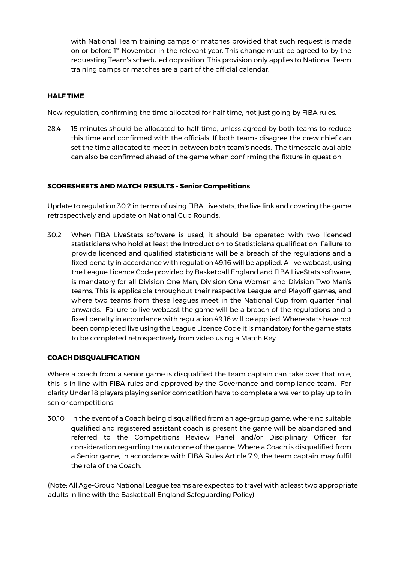with National Team training camps or matches provided that such request is made on or before 1<sup>st</sup> November in the relevant year. This change must be agreed to by the requesting Team's scheduled opposition. This provision only applies to National Team training camps or matches are a part of the official calendar.

## **HALF TIME**

New regulation, confirming the time allocated for half time, not just going by FIBA rules.

28.4 15 minutes should be allocated to half time, unless agreed by both teams to reduce this time and confirmed with the officials. If both teams disagree the crew chief can set the time allocated to meet in between both team's needs. The timescale available can also be confirmed ahead of the game when confirming the fixture in question.

#### **SCORESHEETS AND MATCH RESULTS - Senior Competitions**

Update to regulation 30.2 in terms of using FIBA Live stats, the live link and covering the game retrospectively and update on National Cup Rounds.

30.2 When FIBA LiveStats software is used, it should be operated with two licenced statisticians who hold at least the Introduction to Statisticians qualification. Failure to provide licenced and qualified statisticians will be a breach of the regulations and a fixed penalty in accordance with regulation 49.16 will be applied. A live webcast, using the League Licence Code provided by Basketball England and FIBA LiveStats software, is mandatory for all Division One Men, Division One Women and Division Two Men's teams. This is applicable throughout their respective League and Playoff games, and where two teams from these leagues meet in the National Cup from quarter final onwards. Failure to live webcast the game will be a breach of the regulations and a fixed penalty in accordance with regulation 49.16 will be applied. Where stats have not been completed live using the League Licence Code it is mandatory for the game stats to be completed retrospectively from video using a Match Key

#### **COACH DISQUALIFICATION**

Where a coach from a senior game is disqualified the team captain can take over that role, this is in line with FIBA rules and approved by the Governance and compliance team. For clarity Under 18 players playing senior competition have to complete a waiver to play up to in senior competitions.

30.10 In the event of a Coach being disqualified from an age-group game, where no suitable qualified and registered assistant coach is present the game will be abandoned and referred to the Competitions Review Panel and/or Disciplinary Officer for consideration regarding the outcome of the game. Where a Coach is disqualified from a Senior game, in accordance with FIBA Rules Article 7.9, the team captain may fulfil the role of the Coach.

(Note: All Age-Group National League teams are expected to travel with at least two appropriate adults in line with the Basketball England Safeguarding Policy)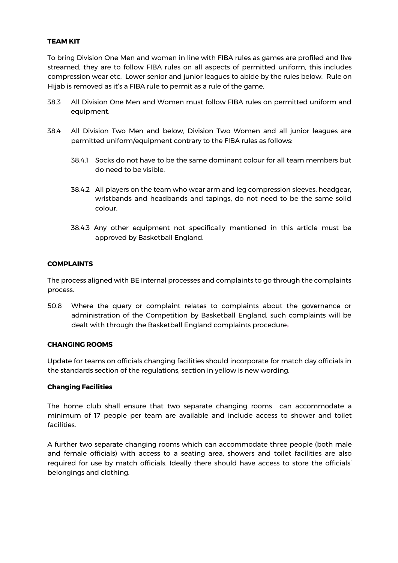## **TEAM KIT**

To bring Division One Men and women in line with FIBA rules as games are profiled and live streamed, they are to follow FIBA rules on all aspects of permitted uniform, this includes compression wear etc. Lower senior and junior leagues to abide by the rules below. Rule on Hijab is removed as it's a FIBA rule to permit as a rule of the game.

- 38.3 All Division One Men and Women must follow FIBA rules on permitted uniform and equipment.
- 38.4 All Division Two Men and below, Division Two Women and all junior leagues are permitted uniform/equipment contrary to the FIBA rules as follows:
	- 38.4.1 Socks do not have to be the same dominant colour for all team members but do need to be visible.
	- 38.4.2 All players on the team who wear arm and leg compression sleeves, headgear, wristbands and headbands and tapings, do not need to be the same solid colour.
	- 38.4.3 Any other equipment not specifically mentioned in this article must be approved by Basketball England.

#### **COMPLAINTS**

The process aligned with BE internal processes and complaints to go through the complaints process.

50.8 Where the query or complaint relates to complaints about the governance or administration of the Competition by Basketball England, such complaints will be dealt with through the Basketball England complaints procedure..

#### **CHANGING ROOMS**

Update for teams on officials changing facilities should incorporate for match day officials in the standards section of the regulations, section in yellow is new wording.

#### **Changing Facilities**

The home club shall ensure that two separate changing rooms can accommodate a minimum of 17 people per team are available and include access to shower and toilet facilities.

A further two separate changing rooms which can accommodate three people (both male and female officials) with access to a seating area, showers and toilet facilities are also required for use by match officials. Ideally there should have access to store the officials' belongings and clothing.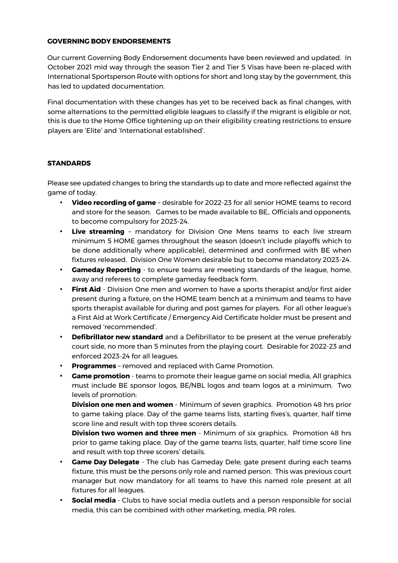#### **GOVERNING BODY ENDORSEMENTS**

Our current Governing Body Endorsement documents have been reviewed and updated. In October 2021 mid way through the season Tier 2 and Tier 5 Visas have been re-placed with International Sportsperson Route with options for short and long stay by the government, this has led to updated documentation.

Final documentation with these changes has yet to be received back as final changes, with some alternations to the permitted eligible leagues to classify if the migrant is eligible or not, this is due to the Home Office tightening up on their eligibility creating restrictions to ensure players are 'Elite' and 'International established'.

## **STANDARDS**

Please see updated changes to bring the standards up to date and more reflected against the game of today.

- **Video recording of game** desirable for 2022-23 for all senior HOME teams to record and store for the season. Games to be made available to BE,. Officials and opponents, to become compulsory for 2023-24.
- **Live streaming** mandatory for Division One Mens teams to each live stream minimum 5 HOME games throughout the season (doesn't include playoffs which to be done additionally where applicable), determined and confirmed with BE when fixtures released. Division One Women desirable but to become mandatory 2023-24.
- **Gameday Reporting** to ensure teams are meeting standards of the league, home, away and referees to complete gameday feedback form.
- **First Aid** Division One men and women to have a sports therapist and/or first aider present during a fixture, on the HOME team bench at a minimum and teams to have sports therapist available for during and post games for players. For all other league's a First Aid at Work Certificate / Emergency Aid Certificate holder must be present and removed 'recommended'.
- **Defibrillator new standard** and a Defibrillator to be present at the venue preferably court side, no more than 5 minutes from the playing court. Desirable for 2022-23 and enforced 2023-24 for all leagues.
- **Programmes** removed and replaced with Game Promotion.
- **Game promotion** teams to promote their league game on social media, All graphics must include BE sponsor logos, BE/NBL logos and team logos at a minimum. Two levels of promotion:

**Division one men and women** - Minimum of seven graphics. Promotion 48 hrs prior to game taking place. Day of the game teams lists, starting fives's, quarter, half time score line and result with top three scorers details.

**Division two women and three men** - Minimum of six graphics. Promotion 48 hrs prior to game taking place. Day of the game teams lists, quarter, half time score line and result with top three scorers' details.

- **Game Day Delegate** The club has Gameday Dele; gate present during each teams fixture, this must be the persons only role and named person. This was previous court manager but now mandatory for all teams to have this named role present at all fixtures for all leagues.
- **Social media** Clubs to have social media outlets and a person responsible for social media, this can be combined with other marketing, media, PR roles.